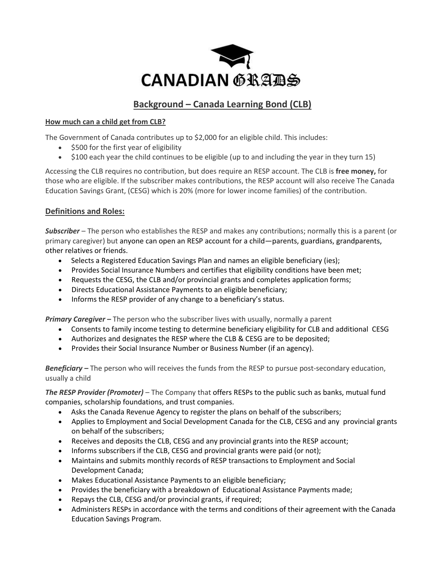

## **Background – Canada Learning Bond (CLB)**

#### **How much can a child get from CLB?**

The Government of Canada contributes up to \$2,000 for an eligible child. This includes:

- \$500 for the first year of eligibility
- \$100 each year the child continues to be eligible (up to and including the year in they turn 15)

Accessing the CLB requires no contribution, but does require an RESP account. The CLB is **free money,** for those who are eligible. If the subscriber makes contributions, the RESP account will also receive The Canada Education Savings Grant, (CESG) which is 20% (more for lower income families) of the contribution.

### **Definitions and Roles:**

*Subscriber* – The person who establishes the RESP and makes any contributions; normally this is a parent (or primary caregiver) but anyone can open an RESP account for a child—parents, guardians, grandparents, other relatives or friends.

- Selects a Registered Education Savings Plan and names an eligible beneficiary (ies);
- Provides Social Insurance Numbers and certifies that eligibility conditions have been met;
- Requests the CESG, the CLB and/or provincial grants and completes application forms;
- Directs Educational Assistance Payments to an eligible beneficiary;
- Informs the RESP provider of any change to a beneficiary's status.

*Primary Caregiver –* The person who the subscriber lives with usually, normally a parent

- Consents to family income testing to determine beneficiary eligibility for CLB and additional CESG
- Authorizes and designates the RESP where the CLB & CESG are to be deposited;
- Provides their Social Insurance Number or Business Number (if an agency).

*Beneficiary –* The person who will receives the funds from the RESP to pursue post-secondary education, usually a child

*The RESP Provider (Promoter)* – The Company that offers RESPs to the public such as banks, mutual fund companies, scholarship foundations, and trust companies.

- Asks the Canada Revenue Agency to register the plans on behalf of the subscribers;
- Applies to Employment and Social Development Canada for the CLB, CESG and any provincial grants on behalf of the subscribers;
- Receives and deposits the CLB, CESG and any provincial grants into the RESP account;
- Informs subscribers if the CLB, CESG and provincial grants were paid (or not);
- Maintains and submits monthly records of RESP transactions to Employment and Social Development Canada;
- Makes Educational Assistance Payments to an eligible beneficiary;
- Provides the beneficiary with a breakdown of Educational Assistance Payments made;
- Repays the CLB, CESG and/or provincial grants, if required;
- Administers RESPs in accordance with the terms and conditions of their agreement with the Canada Education Savings Program.